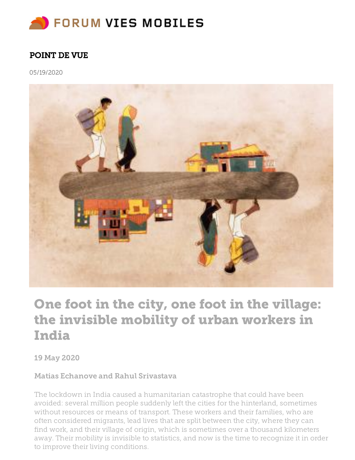

### POINT DE VUE

05/19/2020



# One foot in the city, one foot in the village: the invisible mobility of urban workers in India

19 May 2020

### Matias Echanove and Rahul Srivastava

The lockdown in India caused a humanitarian catastrophe that could have been avoided: several million people suddenly left the cities for the hinterland, sometimes without resources or means of transport. These workers and their families, who are often considered migrants, lead lives that are split between the city, where they can find work, and their village of origin, which is sometimes over a thousand kilometers away. Their mobility is invisible to statistics, and now is the time to recognize it in order to improve their living conditions.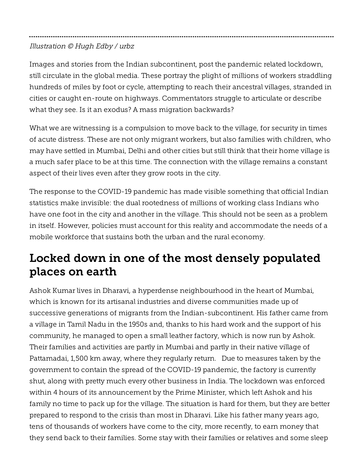### Illustration © Hugh Edby / urbz

Images and stories from the Indian subcontinent, post the pandemic related lockdown, still circulate in the global media. These portray the plight of millions of workers straddling hundreds of miles by foot or cycle, attempting to reach their ancestral villages, stranded in cities or caught en-route on highways. Commentators struggle to articulate or describe what they see. Is it an exodus? A mass migration backwards?

What we are witnessing is a compulsion to move back to the village, for security in times of acute distress. These are not only migrant workers, but also families with children, who may have settled in Mumbai, Delhi and other cities but still think that their home village is a much safer place to be at this time. The connection with the village remains a constant aspect of their lives even after they grow roots in the city.

The response to the COVID-19 pandemic has made visible something that official Indian statistics make invisible: the dual rootedness of millions of working class Indians who have one foot in the city and another in the village. This should not be seen as a problem in itself. However, policies must account for this reality and accommodate the needs of a mobile workforce that sustains both the urban and the rural economy.

# Locked down in one of the most densely populated places on earth

Ashok Kumar lives in Dharavi, a hyperdense neighbourhood in the heart of Mumbai, which is known for its artisanal industries and diverse communities made up of successive generations of migrants from the Indian-subcontinent. His father came from a village in Tamil Nadu in the 1950s and, thanks to his hard work and the support of his community, he managed to open a small leather factory, which is now run by Ashok. Their families and activities are partly in Mumbai and partly in their native village of Pattamadai, 1,500 km away, where they regularly return. Due to measures taken by the government to contain the spread of the COVID-19 pandemic, the factory is currently shut, along with pretty much every other business in India. The lockdown was enforced within 4 hours of its announcement by the Prime Minister, which left Ashok and his family no time to pack up for the village. The situation is hard for them, but they are better prepared to respond to the crisis than most in Dharavi. Like his father many years ago, tens of thousands of workers have come to the city, more recently, to earn money that they send back to their families. Some stay with their families or relatives and some sleep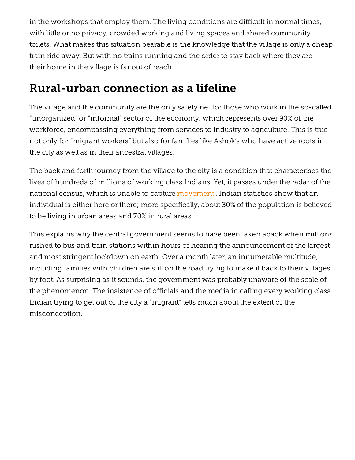in the workshops that employ them. The living conditions are difficult in normal times, with little or no privacy, crowded working and living spaces and shared community toilets. What makes this situation bearable is the knowledge that the village is only a cheap train ride away. But with no trains running and the order to stay back where they are their home in the village is far out of reach.

## Rural-urban connection as a lifeline

The village and the community are the only safety net for those who work in the so-called "unorganized" or "informal" sector of the economy, which represents over 90% of the workforce, encompassing everything from services to industry to agriculture. This is true not only for "migrant workers" but also for families like Ashok's who have active roots in the city as well as in their ancestral villages.

The back and forth journey from the village to the city is a condition that characterises the lives of hundreds of millions of working class Indians. Yet, it passes under the radar of the national census, which is unable to capture movement. Indian statistics show that an individual is either here or there; more specifically, about 30% of the population is believed to be living in urban areas and 70% in rural areas.

This explains why the central government seems to have been taken aback when millions rushed to bus and train stations within hours of hearing the announcement of the largest and most stringent lockdown on earth. Over a month later, an innumerable multitude, including families with children are still on the road trying to make it back to their villages by foot. As surprising as it sounds, the government was probably unaware of the scale of the phenomenon. The insistence of officials and the media in calling every working class Indian trying to get out of the city a "migrant" tells much about the extent of the misconception.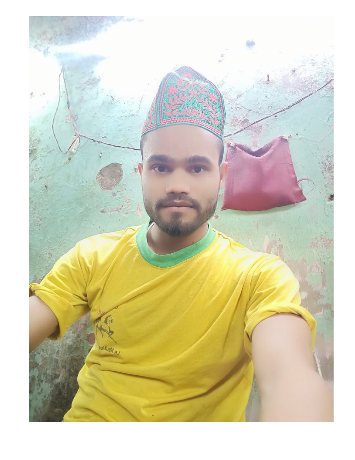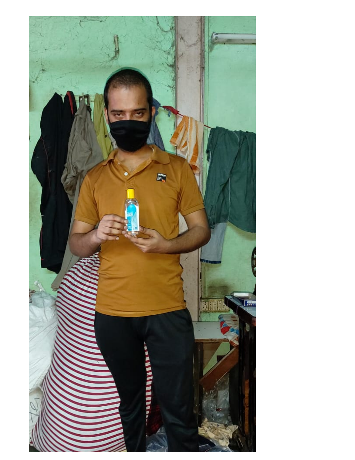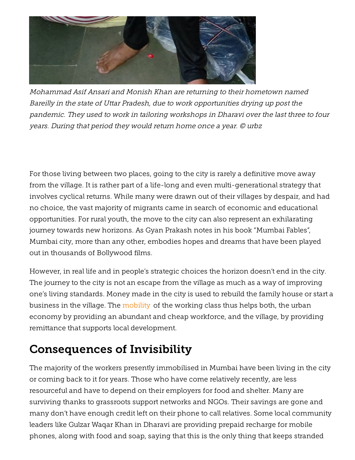

Mohammad Asif Ansari and Monish Khan are returning to their hometown named Bareilly in the state of Uttar Pradesh, due to work opportunities drying up post the pandemic. They used to work in tailoring workshops in Dharavi over the last three to four years. During that period they would return home once a year. © urbz

For those living between two places, going to the city is rarely a definitive move away from the village. It is rather part of a life-long and even multi-generational strategy that involves cyclical returns. While many were drawn out of their villages by despair, and had no choice, the vast majority of migrants came in search of economic and educational opportunities. For rural youth, the move to the city can also represent an exhilarating journey towards new horizons. As Gyan Prakash notes in his book "Mumbai Fables", Mumbai city, more than any other, embodies hopes and dreams that have been played out in thousands of Bollywood films.

However, in real life and in people's strategic choices the horizon doesn't end in the city. The journey to the city is not an escape from the village as much as a way of improving one's living standards. Money made in the city is used to rebuild the family house or start a business in the village. The mobility of the working class thus helps both, the urban economy by providing an abundant and cheap workforce, and the village, by providing remittance that supports local development.

# Consequences of Invisibility

The majority of the workers presently immobilised in Mumbai have been living in the city or coming back to it for years. Those who have come relatively recently, are less resourceful and have to depend on their employers for food and shelter. Many are surviving thanks to grassroots support networks and NGOs. Their savings are gone and many don't have enough credit left on their phone to call relatives. Some local community leaders like Gulzar Waqar Khan in Dharavi are providing prepaid recharge for mobile phones, along with food and soap, saying that this is the only thing that keeps stranded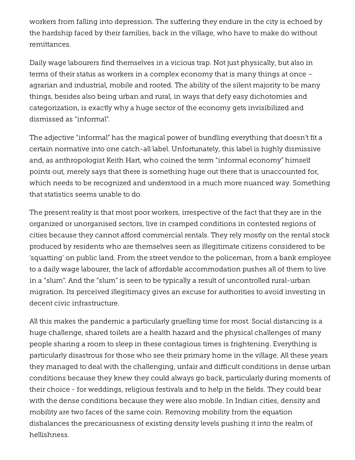workers from falling into depression. The suffering they endure in the city is echoed by the hardship faced by their families, back in the village, who have to make do without remittances.

Daily wage labourers find themselves in a vicious trap. Not just physically, but also in terms of their status as workers in a complex economy that is many things at once – agrarian and industrial, mobile and rooted. The ability of the silent majority to be many things, besides also being urban and rural, in ways that defy easy dichotomies and categorization, is exactly why a huge sector of the economy gets invisibilized and dismissed as "informal".

The adjective "informal" has the magical power of bundling everything that doesn't fit a certain normative into one catch-all label. Unfortunately, this label is highly dismissive and, as anthropologist Keith Hart, who coined the term "informal economy" himself points out, merely says that there is something huge out there that is unaccounted for, which needs to be recognized and understood in a much more nuanced way. Something that statistics seems unable to do.

The present reality is that most poor workers, irrespective of the fact that they are in the organized or unorganised sectors, live in cramped conditions in contested regions of cities because they cannot afford commercial rentals. They rely mostly on the rental stock produced by residents who are themselves seen as illegitimate citizens considered to be 'squatting' on public land. From the street vendor to the policeman, from a bank employee to a daily wage labourer, the lack of affordable accommodation pushes all of them to live in a "slum". And the "slum" is seen to be typically a result of uncontrolled rural-urban migration. Its perceived illegitimacy gives an excuse for authorities to avoid investing in decent civic infrastructure.

All this makes the pandemic a particularly gruelling time for most. Social distancing is a huge challenge, shared toilets are a health hazard and the physical challenges of many people sharing a room to sleep in these contagious times is frightening. Everything is particularly disastrous for those who see their primary home in the village. All these years they managed to deal with the challenging, unfair and difficult conditions in dense urban conditions because they knew they could always go back, particularly during moments of their choice - for weddings, religious festivals and to help in the fields. They could bear with the dense conditions because they were also mobile. In Indian cities, density and mobility are two faces of the same coin. Removing mobility from the equation disbalances the precariousness of existing density levels pushing it into the realm of hellishness.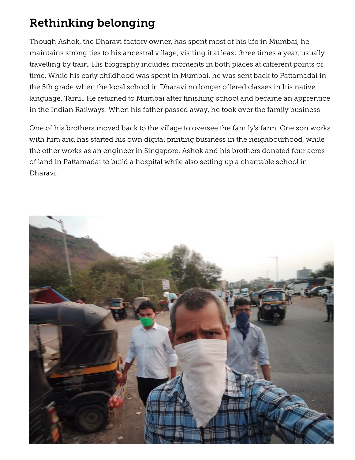# Rethinking belonging

Though Ashok, the Dharavi factory owner, has spent most of his life in Mumbai, he maintains strong ties to his ancestral village, visiting it at least three times a year, usually travelling by train. His biography includes moments in both places at different points of time. While his early childhood was spent in Mumbai, he was sent back to Pattamadai in the 5th grade when the local school in Dharavi no longer offered classes in his native language, Tamil. He returned to Mumbai after finishing school and became an apprentice in the Indian Railways. When his father passed away, he took over the family business.

One of his brothers moved back to the village to oversee the family's farm. One son works with him and has started his own digital printing business in the neighbourhood, while the other works as an engineer in Singapore. Ashok and his brothers donated four acres of land in Pattamadai to build a hospital while also setting up a charitable school in Dharavi.

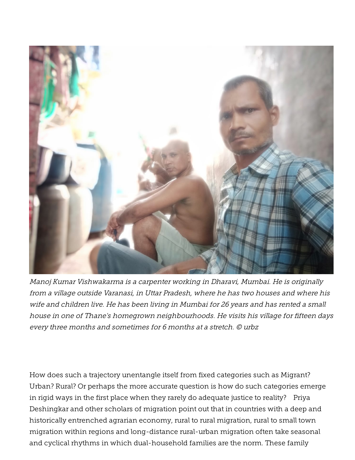

Manoj Kumar Vishwakarma is a carpenter working in Dharavi, Mumbai. He is originally from a village outside Varanasi, in Uttar Pradesh, where he has two houses and where his wife and children live. He has been living in Mumbai for 26 years and has rented a small house in one of Thane's homegrown neighbourhoods. He visits his village for fifteen days every three months and sometimes for 6 months at a stretch. © urbz

How does such a trajectory unentangle itself from fixed categories such as Migrant? Urban? Rural? Or perhaps the more accurate question is how do such categories emerge in rigid ways in the first place when they rarely do adequate justice to reality? Priya Deshingkar and other scholars of migration point out that in countries with a deep and historically entrenched agrarian economy, rural to rural migration, rural to small town migration within regions and long-distance rural-urban migration often take seasonal and cyclical rhythms in which dual-household families are the norm. These family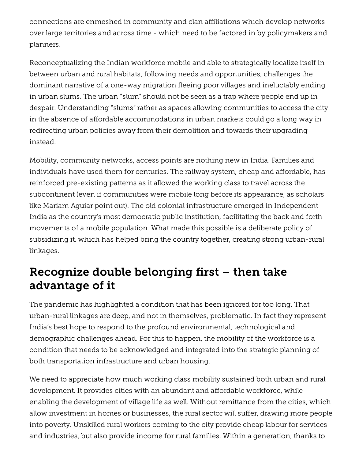connections are enmeshed in community and clan affiliations which develop networks over large territories and across time - which need to be factored in by policymakers and planners.

Reconceptualizing the Indian workforce mobile and able to strategically localize itself in between urban and rural habitats, following needs and opportunities, challenges the dominant narrative of a one-way migration fleeing poor villages and ineluctably ending in urban slums. The urban "slum" should not be seen as a trap where people end up in despair. Understanding "slums" rather as spaces allowing communities to access the city in the absence of affordable accommodations in urban markets could go a long way in redirecting urban policies away from their demolition and towards their upgrading instead.

Mobility, community networks, access points are nothing new in India. Families and individuals have used them for centuries. The railway system, cheap and affordable, has reinforced pre-existing patterns as it allowed the working class to travel across the subcontinent (even if communities were mobile long before its appearance, as scholars like Mariam Aguiar point out). The old colonial infrastructure emerged in Independent India as the country's most democratic public institution, facilitating the back and forth movements of a mobile population. What made this possible is a deliberate policy of subsidizing it, which has helped bring the country together, creating strong urban-rural linkages.

# Recognize double belonging first – then take advantage of it

The pandemic has highlighted a condition that has been ignored for too long. That urban-rural linkages are deep, and not in themselves, problematic. In fact they represent India's best hope to respond to the profound environmental, technological and demographic challenges ahead. For this to happen, the mobility of the workforce is a condition that needs to be acknowledged and integrated into the strategic planning of both transportation infrastructure and urban housing.

We need to appreciate how much working class mobility sustained both urban and rural development. It provides cities with an abundant and affordable workforce, while enabling the development of village life as well. Without remittance from the cities, which allow investment in homes or businesses, the rural sector will suffer, drawing more people into poverty. Unskilled rural workers coming to the city provide cheap labour for services and industries, but also provide income for rural families. Within a generation, thanks to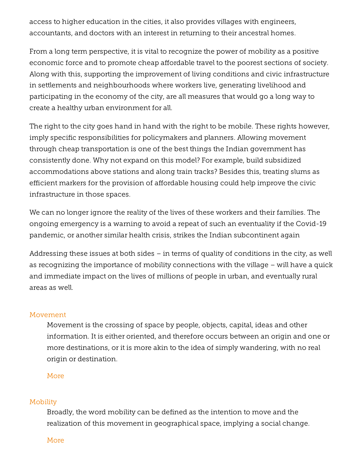access to higher education in the cities, it also provides villages with engineers, accountants, and doctors with an interest in returning to their ancestral homes.

From a long term perspective, it is vital to recognize the power of mobility as a positive economic force and to promote cheap affordable travel to the poorest sections of society. Along with this, supporting the improvement of living conditions and civic infrastructure in settlements and neighbourhoods where workers live, generating livelihood and participating in the economy of the city, are all measures that would go a long way to create a healthy urban environment for all.

The right to the city goes hand in hand with the right to be mobile. These rights however, imply specific responsibilities for policymakers and planners. Allowing movement through cheap transportation is one of the best things the Indian government has consistently done. Why not expand on this model? For example, build subsidized accommodations above stations and along train tracks? Besides this, treating slums as efficient markers for the provision of affordable housing could help improve the civic infrastructure in those spaces.

We can no longer ignore the reality of the lives of these workers and their families. The ongoing emergency is a warning to avoid a repeat of such an eventuality if the Covid-19 pandemic, or another similar health crisis, strikes the Indian subcontinent again

Addressing these issues at both sides – in terms of quality of conditions in the city, as well as recognizing the importance of mobility connections with the village – will have a quick and immediate impact on the lives of millions of people in urban, and eventually rural areas as well.

### Movement

Movement is the crossing of space by people, objects, capital, ideas and other information. It is either oriented, and therefore occurs between an origin and one or more destinations, or it is more akin to the idea of simply wandering, with no real origin or destination.

### [More](https://en.forumviesmobiles.org/marks/movement-460)

### **Mobility**

Broadly, the word mobility can be defined as the intention to move and the realization of this movement in geographical space, implying a social change.

### [More](https://en.forumviesmobiles.org/marks/mobility-450)